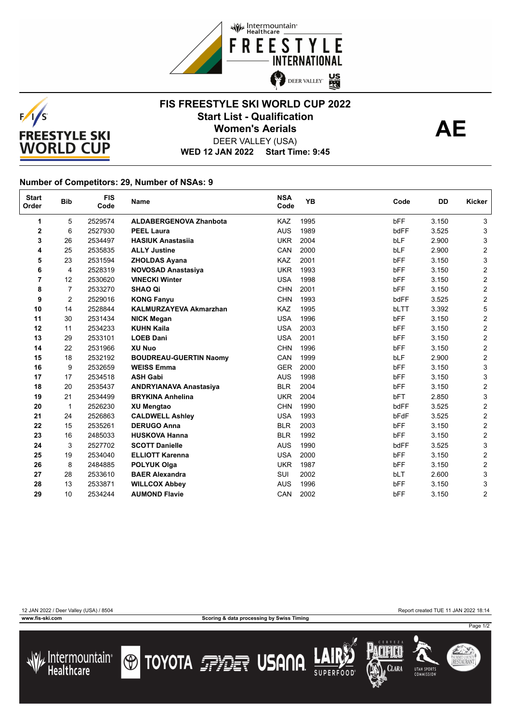



## **FIS FREESTYLE SKI WORLD CUP 2022** Start List - Qualification<br>
Women's Aerials **AE Women's Aerials**



DEER VALLEY (USA)

**WED 12 JAN 2022 Start Time: 9:45**

## **Number of Competitors: 29, Number of NSAs: 9**

| <b>Start</b><br>Order | <b>Bib</b>     | <b>FIS</b><br>Code | Name                          | <b>NSA</b><br>Code | <b>YB</b> | Code       | <b>DD</b> | Kicker                    |
|-----------------------|----------------|--------------------|-------------------------------|--------------------|-----------|------------|-----------|---------------------------|
| 1                     | 5              | 2529574            | <b>ALDABERGENOVA Zhanbota</b> | KAZ                | 1995      | <b>bFF</b> | 3.150     | 3                         |
| 2                     | 6              | 2527930            | <b>PEEL Laura</b>             | <b>AUS</b>         | 1989      | bdFF       | 3.525     | 3                         |
| 3                     | 26             | 2534497            | <b>HASIUK Anastasija</b>      | <b>UKR</b>         | 2004      | <b>bLF</b> | 2.900     | 3                         |
| 4                     | 25             | 2535835            | <b>ALLY Justine</b>           | CAN                | 2000      | bLF        | 2.900     | $\overline{c}$            |
| 5                     | 23             | 2531594            | <b>ZHOLDAS Ayana</b>          | <b>KAZ</b>         | 2001      | bFF        | 3.150     | 3                         |
| 6                     | 4              | 2528319            | <b>NOVOSAD Anastasiya</b>     | <b>UKR</b>         | 1993      | bFF        | 3.150     | $\boldsymbol{2}$          |
| 7                     | 12             | 2530620            | <b>VINECKI Winter</b>         | <b>USA</b>         | 1998      | bFF        | 3.150     | $\overline{2}$            |
| 8                     | $\overline{7}$ | 2533270            | <b>SHAO Qi</b>                | <b>CHN</b>         | 2001      | bFF        | 3.150     | $\overline{\mathbf{c}}$   |
| 9                     | $\overline{2}$ | 2529016            | <b>KONG Fanyu</b>             | <b>CHN</b>         | 1993      | bdFF       | 3.525     | $\mathbf 2$               |
| 10                    | 14             | 2528844            | <b>KALMURZAYEVA Akmarzhan</b> | KAZ                | 1995      | bLTT       | 3.392     | 5                         |
| 11                    | 30             | 2531434            | <b>NICK Megan</b>             | <b>USA</b>         | 1996      | bFF        | 3.150     | $\overline{2}$            |
| 12                    | 11             | 2534233            | <b>KUHN Kaila</b>             | <b>USA</b>         | 2003      | bFF        | 3.150     | $\overline{c}$            |
| 13                    | 29             | 2533101            | <b>LOEB Dani</b>              | <b>USA</b>         | 2001      | bFF        | 3.150     | $\overline{2}$            |
| 14                    | 22             | 2531966            | <b>XU Nuo</b>                 | <b>CHN</b>         | 1996      | bFF        | 3.150     | $\overline{\mathbf{c}}$   |
| 15                    | 18             | 2532192            | <b>BOUDREAU-GUERTIN Naomy</b> | CAN                | 1999      | <b>bLF</b> | 2.900     | $\mathbf 2$               |
| 16                    | 9              | 2532659            | <b>WEISS Emma</b>             | <b>GER</b>         | 2000      | bFF        | 3.150     | $\mathbf{3}$              |
| 17                    | 17             | 2534518            | <b>ASH Gabi</b>               | <b>AUS</b>         | 1998      | bFF        | 3.150     | 3                         |
| 18                    | 20             | 2535437            | <b>ANDRYIANAVA Anastasiya</b> | <b>BLR</b>         | 2004      | <b>bFF</b> | 3.150     | $\overline{2}$            |
| 19                    | 21             | 2534499            | <b>BRYKINA Anhelina</b>       | <b>UKR</b>         | 2004      | bFT        | 2.850     | $\ensuremath{\mathsf{3}}$ |
| 20                    | 1              | 2526230            | <b>XU Mengtao</b>             | <b>CHN</b>         | 1990      | bdFF       | 3.525     | $\mathbf 2$               |
| 21                    | 24             | 2526863            | <b>CALDWELL Ashley</b>        | <b>USA</b>         | 1993      | bFdF       | 3.525     | $\overline{2}$            |
| 22                    | 15             | 2535261            | <b>DERUGO Anna</b>            | <b>BLR</b>         | 2003      | bFF        | 3.150     | $\overline{2}$            |
| 23                    | 16             | 2485033            | <b>HUSKOVA Hanna</b>          | <b>BLR</b>         | 1992      | bFF        | 3.150     | $\overline{2}$            |
| 24                    | 3              | 2527702            | <b>SCOTT Danielle</b>         | <b>AUS</b>         | 1990      | bdFF       | 3.525     | $\ensuremath{\mathsf{3}}$ |
| 25                    | 19             | 2534040            | <b>ELLIOTT Karenna</b>        | <b>USA</b>         | 2000      | bFF        | 3.150     | $\overline{2}$            |
| 26                    | 8              | 2484885            | <b>POLYUK Olga</b>            | <b>UKR</b>         | 1987      | bFF        | 3.150     | $\overline{2}$            |
| 27                    | 28             | 2533610            | <b>BAER Alexandra</b>         | SUI                | 2002      | bLT        | 2.600     | 3                         |
| 28                    | 13             | 2533871            | <b>WILLCOX Abbey</b>          | <b>AUS</b>         | 1996      | bFF        | 3.150     | 3                         |
| 29                    | 10             | 2534244            | <b>AUMOND Flavie</b>          | CAN                | 2002      | bFF        | 3.150     | $\overline{2}$            |

**www.fis-ski.com Scoring & data processing by Swiss Timing**

12 JAN 2022 / Deer Valley (USA) / 8504 Report created TUE 11 JAN 2022 18:14